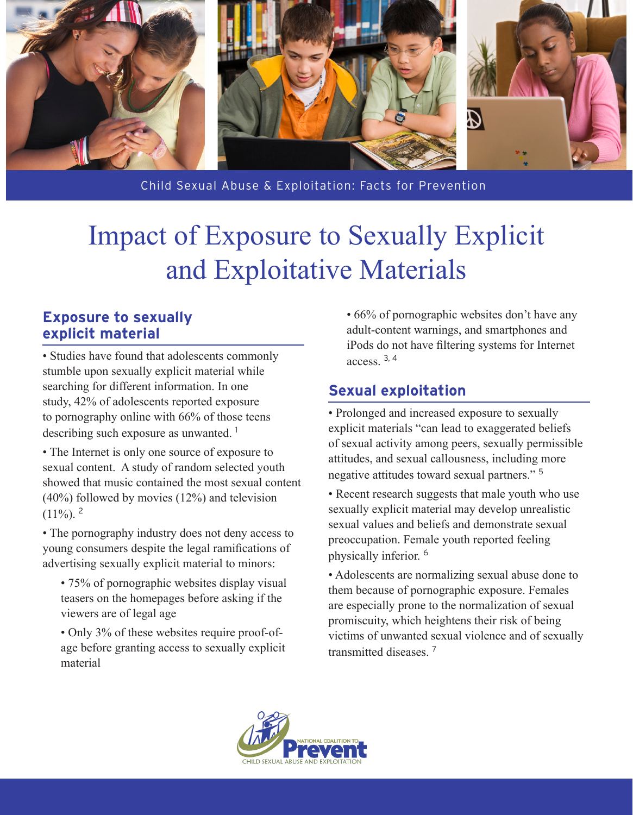

Child Sexual Abuse & Exploitation: Facts for Prevention

## Impact of Exposure to Sexually Explicit and Exploitative Materials

## **Exposure to sexually explicit material**

• Studies have found that adolescents commonly stumble upon sexually explicit material while searching for different information. In one study, 42% of adolescents reported exposure to pornography online with 66% of those teens describing such exposure as unwanted. <sup>1</sup>

• The Internet is only one source of exposure to sexual content. A study of random selected youth showed that music contained the most sexual content (40%) followed by movies (12%) and television  $(11\%)$ <sup>2</sup>

• The pornography industry does not deny access to young consumers despite the legal ramifications of advertising sexually explicit material to minors:

- 75% of pornographic websites display visual teasers on the homepages before asking if the viewers are of legal age
- Only 3% of these websites require proof-ofage before granting access to sexually explicit material

• 66% of pornographic websites don't have any adult-content warnings, and smartphones and iPods do not have filtering systems for Internet access. 3, 4

## **Sexual exploitation**

• Prolonged and increased exposure to sexually explicit materials "can lead to exaggerated beliefs of sexual activity among peers, sexually permissible attitudes, and sexual callousness, including more negative attitudes toward sexual partners." <sup>5</sup>

• Recent research suggests that male youth who use sexually explicit material may develop unrealistic sexual values and beliefs and demonstrate sexual preoccupation. Female youth reported feeling physically inferior. <sup>6</sup>

• Adolescents are normalizing sexual abuse done to them because of pornographic exposure. Females are especially prone to the normalization of sexual promiscuity, which heightens their risk of being victims of unwanted sexual violence and of sexually transmitted diseases<sup>7</sup>